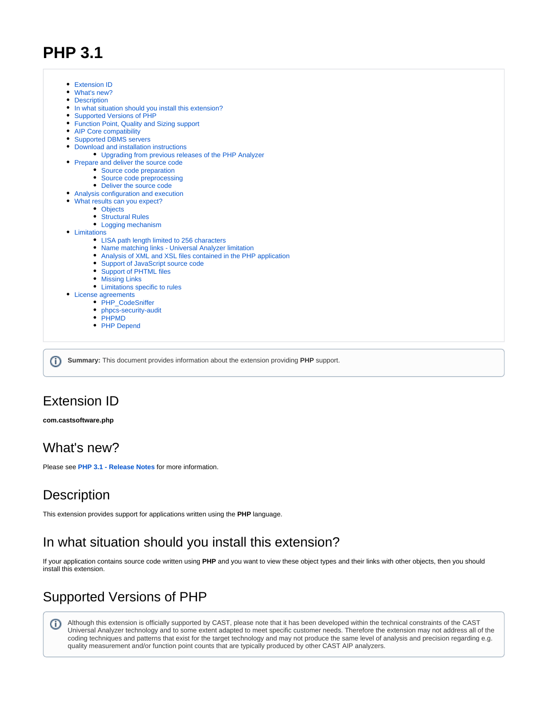# **PHP 3.1**



**Summary:** This document provides information about the extension providing **PHP** support. O)

# <span id="page-0-0"></span>Extension ID

#### **com.castsoftware.php**

# <span id="page-0-1"></span>What's new?

Please see **[PHP 3.1 - Release Notes](https://doc.castsoftware.com/display/TECHNOS/PHP+3.1+-+Release+Notes)** for more information.

# <span id="page-0-2"></span>**Description**

This extension provides support for applications written using the **PHP** language.

# <span id="page-0-3"></span>In what situation should you install this extension?

If your application contains source code written using **PHP** and you want to view these object types and their links with other objects, then you should install this extension.

# <span id="page-0-4"></span>Supported Versions of PHP

➀ Although this extension is officially supported by CAST, please note that it has been developed within the technical constraints of the CAST Universal Analyzer technology and to some extent adapted to meet specific customer needs. Therefore the extension may not address all of the coding techniques and patterns that exist for the target technology and may not produce the same level of analysis and precision regarding e.g. quality measurement and/or function point counts that are typically produced by other CAST AIP analyzers.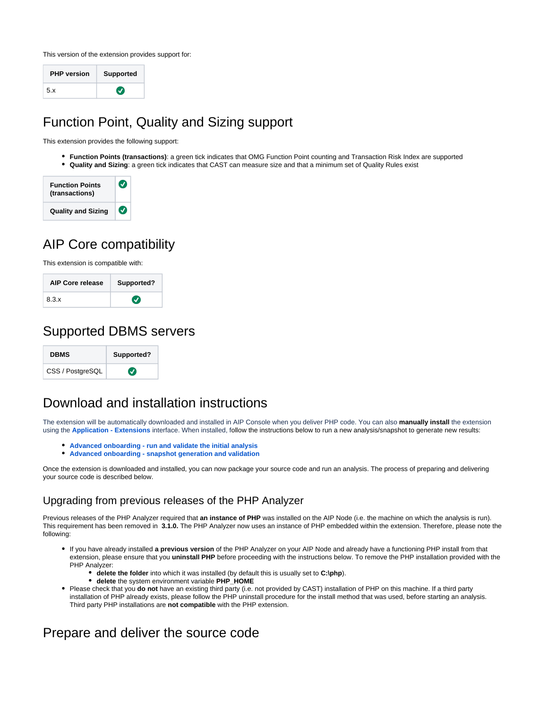

This version of the extension provides support for:

| <b>PHP</b> version | <b>Supported</b> |
|--------------------|------------------|
| 5.x                | $\bm{J}$         |

# <span id="page-1-0"></span>Function Point, Quality and Sizing support

This extension provides the following support:

**Function Points (transactions)**: a green tick indicates that OMG Function Point counting and Transaction Risk Index are supported **Quality and Sizing**: a green tick indicates that CAST can measure size and that a minimum set of Quality Rules exist

| <b>Function Points</b><br>(transactions) | $\bm{v}$                   |
|------------------------------------------|----------------------------|
| <b>Quality and Sizing</b>                | $\left( \mathbf{v}\right)$ |

# <span id="page-1-1"></span>AIP Core compatibility

This extension is compatible with:

| <b>AIP Core release</b> | Supported? |  |
|-------------------------|------------|--|
| 8.3.x                   | $\bm{J}$   |  |

# <span id="page-1-2"></span>Supported DBMS servers

| <b>DBMS</b>      | Supported?    |  |
|------------------|---------------|--|
| CSS / PostgreSQL | $\bm{\sigma}$ |  |

# <span id="page-1-3"></span>Download and installation instructions

The extension will be automatically downloaded and installed in AIP Console when you deliver PHP code. You can also **manually install** the extension using the **[Application - Extensions](https://doc.castsoftware.com/display/AIPCONSOLE/Application+-+Extensions)** interface. When installed, follow the instructions below to run a new analysis/snapshot to generate new results:

- **[Advanced onboarding run and validate the initial analysis](https://doc.castsoftware.com/display/DASHBOARDS/Advanced+onboarding+-+run+and+validate+the+initial+analysis)**
- **[Advanced onboarding snapshot generation and validation](https://doc.castsoftware.com/display/DASHBOARDS/Advanced+onboarding+-+snapshot+generation+and+validation)**

Once the extension is downloaded and installed, you can now package your source code and run an analysis. The process of preparing and delivering your source code is described below.

## <span id="page-1-4"></span>Upgrading from previous releases of the PHP Analyzer

Previous releases of the PHP Analyzer required that **an instance of PHP** was installed on the AIP Node (i.e. the machine on which the analysis is run). This requirement has been removed in **3.1.0.** The PHP Analyzer now uses an instance of PHP embedded within the extension. Therefore, please note the following:

- If you have already installed **a previous version** of the PHP Analyzer on your AIP Node and already have a functioning PHP install from that extension, please ensure that you **uninstall PHP** before proceeding with the instructions below. To remove the PHP installation provided with the PHP Analyzer:
	- **delete the folder** into which it was installed (by default this is usually set to **C:\php**).
	- **delete** the system environment variable **PHP\_HOME**
- Please check that you **do not** have an existing third party (i.e. not provided by CAST) installation of PHP on this machine. If a third party installation of PHP already exists, please follow the PHP uninstall procedure for the install method that was used, before starting an analysis. Third party PHP installations are **not compatible** with the PHP extension.

# <span id="page-1-6"></span><span id="page-1-5"></span>Prepare and deliver the source code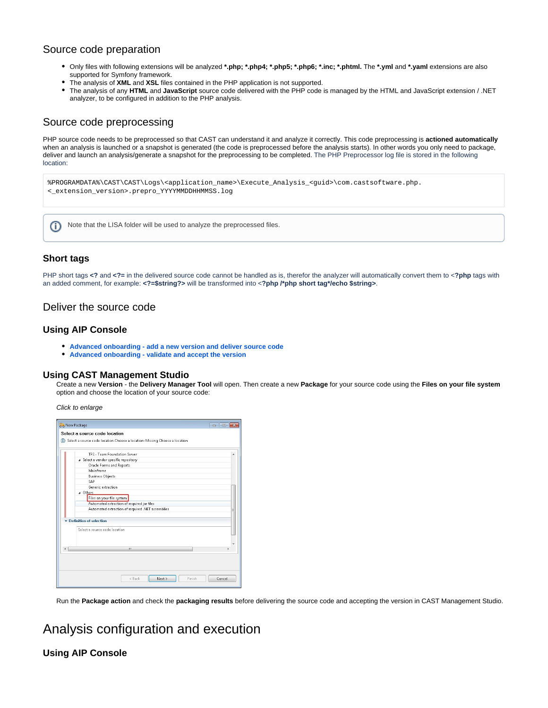### Source code preparation

- Only files with following extensions will be analyzed **\*.php; \*.php4; \*.php5; \*.php6; \*.inc; \*.phtml.** The **\*.yml** and **\*.yaml** extensions are also supported for Symfony framework.
- The analysis of **XML** and **XSL** files contained in the PHP application is not supported.
- The analysis of any **HTML** and **JavaScript** source code delivered with the PHP code is managed by the HTML and JavaScript extension / .NET analyzer, to be configured in addition to the PHP analysis.

### <span id="page-2-0"></span>Source code preprocessing

PHP source code needs to be preprocessed so that CAST can understand it and analyze it correctly. This code preprocessing is **actioned automatically** when an analysis is launched or a snapshot is generated (the code is preprocessed before the analysis starts). In other words you only need to package, deliver and launch an analysis/generate a snapshot for the preprocessing to be completed. The PHP Preprocessor log file is stored in the following location:





#### **Short tags**

PHP short tags <? and <?= in the delivered source code cannot be handled as is, therefor the analyzer will automatically convert them to <? php tags with an added comment, for example: **<?=\$string?>** will be transformed into <**?php /\*php short tag\*/echo \$string>**.

### <span id="page-2-1"></span>Deliver the source code

#### **Using AIP Console**

- **[Advanced onboarding add a new version and deliver source code](https://doc.castsoftware.com/display/DASHBOARDS/Advanced+onboarding+-+add+a+new+version+and+deliver+source+code)**
- **[Advanced onboarding validate and accept the version](https://doc.castsoftware.com/display/DASHBOARDS/Advanced+onboarding+-+validate+and+accept+the+version)**

#### **Using CAST Management Studio**

Create a new **Version** - the **Delivery Manager Tool** will open. Then create a new **Package** for your source code using the **Files on your file system** option and choose the location of your source code:

Click to enlarge

| TES - Team Enundation Server                     |  |
|--------------------------------------------------|--|
| a Select a vendor specific repository            |  |
| Oracle Forms and Reports                         |  |
| Mainframe                                        |  |
| <b>Business Objects</b>                          |  |
| SAP                                              |  |
| Generic extraction                               |  |
| a Others                                         |  |
| Files on your file system                        |  |
| Automated extraction of required jar files       |  |
| Automated extraction of required .NET assemblies |  |
| Definition of selection                          |  |
| Select a source code location                    |  |
| Ш                                                |  |
|                                                  |  |
|                                                  |  |

Run the **Package action** and check the **packaging results** before delivering the source code and accepting the version in CAST Management Studio.

# <span id="page-2-2"></span>Analysis configuration and execution

#### **Using AIP Console**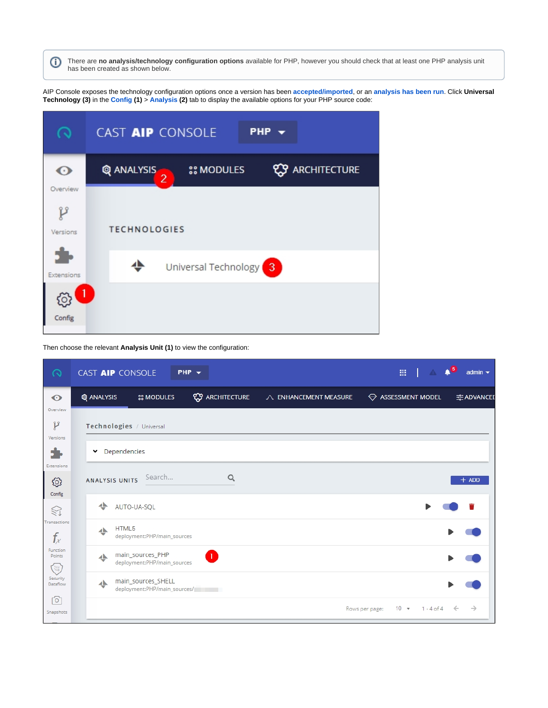There are **no analysis/technology configuration options** available for PHP, however you should check that at least one PHP analysis unit ⊙ has been created as shown below.

AIP Console exposes the technology configuration options once a version has been **[accepted/imported](https://doc.castsoftware.com/display/DASHBOARDS/Advanced+onboarding+-+validate+and+accept+the+version)**, or an **[analysis has been run](https://doc.castsoftware.com/display/DASHBOARDS/Advanced+onboarding+-+run+and+validate+the+initial+analysis)**. Click **Universal Technology (3)** in the **[Config](https://doc.castsoftware.com/display/AIPCONSOLE/Application+-+Config) (1)** > **[Analysis](https://doc.castsoftware.com/display/AIPCONSOLE/Application+-+Config+-+Analysis) (2)** tab to display the available options for your PHP source code:

| o                         | CAST AIP CONSOLE<br>PHP $\rightarrow$                                           |
|---------------------------|---------------------------------------------------------------------------------|
| $\bf{O}$                  | <b>ARCHITECTURE</b><br>Q ANALYSIS<br><b><i>SS MODULES</i></b><br>$\overline{2}$ |
| Overview<br>P<br>Versions | <b>TECHNOLOGIES</b>                                                             |
| Extensions                | ±<br>Universal Technology <sup>3</sup>                                          |
| Config                    |                                                                                 |

Then choose the relevant **Analysis Unit (1)** to view the configuration:

| $\Omega$                        | CAST AIP CONSOLE |                                                    | $PHP -$                 |                       |                | $\mathbb{H}$ $\mathbb{A}$ $\mathbb{A}^5$ | admin $\blacktriangledown$ |
|---------------------------------|------------------|----------------------------------------------------|-------------------------|-----------------------|----------------|------------------------------------------|----------------------------|
| $\odot$                         | Q ANALYSIS       | <b>SS MODULES</b>                                  | <b>ESP ARCHITECTURE</b> | A ENHANCEMENT MEASURE |                | $\ominus$ ASSESSMENT MODEL               | 국 ADVANCED                 |
| Overview<br>y<br>Versions<br>5. | $\check{ }$      | Technologies / Universal<br>Dependencies           |                         |                       |                |                                          |                            |
| Extensions<br>හි                | ANALYSIS UNITS   | Search                                             | Q                       |                       |                |                                          | $+$ ADD                    |
| Config<br>$\mathbb{S}$          | ∸                | AUTO-UA-SQL                                        |                         |                       |                |                                          |                            |
| Transactions<br>$f_x$           | ᅶ                | HTML5<br>deployment:PHP/main_sources               |                         |                       |                |                                          |                            |
| Function<br>Points<br>E         | ᆂ                | main_sources_PHP<br>deployment:PHP/main_sources    | D                       |                       |                |                                          |                            |
| Security<br>Dataflow            | ᆂ                | main_sources_SHELL<br>deployment:PHP/main_sources/ |                         |                       |                |                                          |                            |
| ⊙<br>Snapshots                  |                  |                                                    |                         |                       | Rows per page: | $10 - 7$<br>$1 - 4 of 4$                 | →<br>$\leftarrow$          |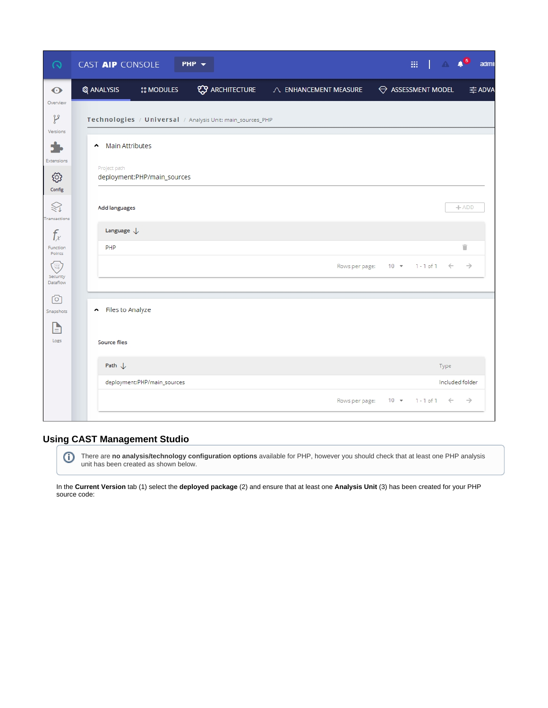| $\Omega$                  | CAST AIP CONSOLE<br>PHP $\rightarrow$                      |                         |                       |          | $\mathbb{H}$ $\mathbb{A}$ $\mathbb{A}^6$ | admi            |
|---------------------------|------------------------------------------------------------|-------------------------|-----------------------|----------|------------------------------------------|-----------------|
| $\odot$                   | <b>Q</b> ANALYSIS<br><b><i>SS MODULES</i></b>              | <b>ESP ARCHITECTURE</b> | A ENHANCEMENT MEASURE |          | ASSESSMENT MODEL                         | 국 ADVA          |
| Overview<br>p             | Technologies / Universal / Analysis Unit: main_sources_PHP |                         |                       |          |                                          |                 |
| Versions                  | <b>Main Attributes</b><br>$\hat{\phantom{a}}$              |                         |                       |          |                                          |                 |
| Extensions                | Project path                                               |                         |                       |          |                                          |                 |
| හි<br>Config              | deployment:PHP/main_sources                                |                         |                       |          |                                          |                 |
| ≋<br>ransactions          | Add languages                                              |                         |                       |          |                                          | $+ADD$          |
| $f_x$                     | Language $\downarrow$                                      |                         |                       |          |                                          |                 |
| Function<br>Points        | PHP                                                        |                         |                       |          |                                          | î               |
| 電<br>Security<br>Dataflow |                                                            |                         | Rows per page:        | $10 - 7$ | $1 - 1$ of $1 \leq$                      | $\rightarrow$   |
| ٢o٦<br>Snapshots          | Files to Analyze                                           |                         |                       |          |                                          |                 |
| È                         |                                                            |                         |                       |          |                                          |                 |
| Logs                      | Source files                                               |                         |                       |          |                                          |                 |
|                           | Path $\downarrow$                                          |                         |                       |          | Type                                     |                 |
|                           | deployment:PHP/main_sources                                |                         |                       |          |                                          | Included folder |
|                           |                                                            |                         | Rows per page:        |          | $10 * 1 - 1 of 1 \leftarrow$             | $\rightarrow$   |

## **Using CAST Management Studio**

⊙ There are **no analysis/technology configuration options** available for PHP, however you should check that at least one PHP analysis unit has been created as shown below.

In the **Current Version** tab (1) select the **deployed package** (2) and ensure that at least one **Analysis Unit** (3) has been created for your PHP source code: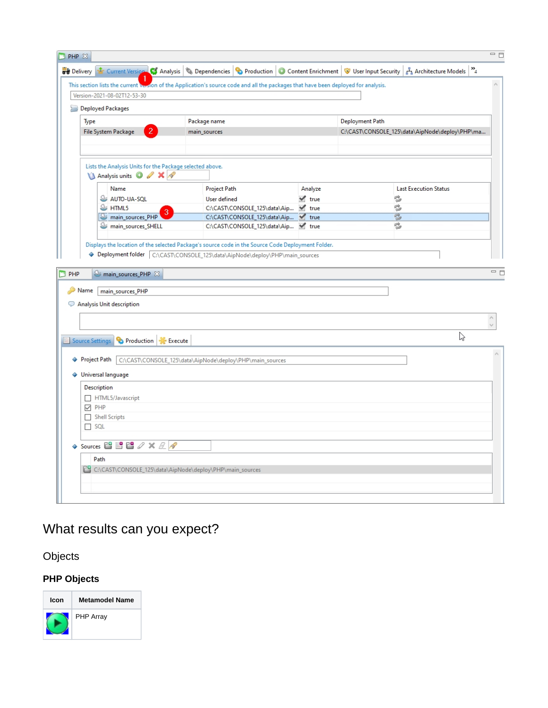|                                                                                                       | This section lists the current veston of the Application's source code and all the packages that have been deployed for analysis.                                               |                           |                 |                                                |
|-------------------------------------------------------------------------------------------------------|---------------------------------------------------------------------------------------------------------------------------------------------------------------------------------|---------------------------|-----------------|------------------------------------------------|
| Version-2021-08-02T12-53-30                                                                           |                                                                                                                                                                                 |                           |                 |                                                |
| <b>Deployed Packages</b>                                                                              |                                                                                                                                                                                 |                           |                 |                                                |
| Type                                                                                                  | Package name                                                                                                                                                                    |                           | Deployment Path |                                                |
| 2<br>File System Package                                                                              | main_sources                                                                                                                                                                    |                           |                 | C:\CAST\CONSOLE_125\data\AipNode\deploy\PHP\ma |
|                                                                                                       |                                                                                                                                                                                 |                           |                 |                                                |
| Lists the Analysis Units for the Package selected above.                                              |                                                                                                                                                                                 |                           |                 |                                                |
| A Analysis units 3 / X /                                                                              |                                                                                                                                                                                 |                           |                 |                                                |
| Name                                                                                                  | Project Path                                                                                                                                                                    | Analyze                   |                 | <b>Last Execution Status</b>                   |
| AUTO-UA-SOL                                                                                           | <b>User defined</b>                                                                                                                                                             | $\blacktriangledown$ true | c               |                                                |
| $\mathbb{S}$ HTML5                                                                                    | C:\CAST\CONSOLE_125\data\Aip Y true                                                                                                                                             |                           | ¢               |                                                |
| main_sources_PHP                                                                                      | C:\CAST\CONSOLE_125\data\Aip V true                                                                                                                                             |                           | Ż               |                                                |
| main_sources_SHELL                                                                                    | C:\CAST\CONSOLE_125\data\Aip Y true                                                                                                                                             |                           | e,              |                                                |
| S main_sources_PHP &                                                                                  | Displays the location of the selected Package's source code in the Source Code Deployment Folder.<br>Deployment folder C:\CAST\CONSOLE_125\data\AipNode\deploy\PHP\main_sources |                           |                 |                                                |
|                                                                                                       |                                                                                                                                                                                 |                           |                 |                                                |
| Name main_sources_PHP<br>Analysis Unit description                                                    |                                                                                                                                                                                 |                           |                 | ど                                              |
| Source Settings<br>Production   Execute                                                               |                                                                                                                                                                                 |                           |                 |                                                |
|                                                                                                       | ◆ Project Path C:\CAST\CONSOLE_125\data\AipNode\deploy\PHP\main_sources                                                                                                         |                           |                 |                                                |
| ♦ Universal language                                                                                  |                                                                                                                                                                                 |                           |                 |                                                |
| Description                                                                                           |                                                                                                                                                                                 |                           |                 |                                                |
| HTML5/Javascript                                                                                      |                                                                                                                                                                                 |                           |                 |                                                |
| $\vee$ PHP                                                                                            |                                                                                                                                                                                 |                           |                 |                                                |
| Shell Scripts                                                                                         |                                                                                                                                                                                 |                           |                 |                                                |
| $\Box$ SQL                                                                                            |                                                                                                                                                                                 |                           |                 |                                                |
|                                                                                                       |                                                                                                                                                                                 |                           |                 |                                                |
| $\leftrightarrow$ Sources $\Box$ $\Box$ $\Box$ $\mathscr{S} \times \mathscr{L}$ $\mathscr{S}$<br>Path |                                                                                                                                                                                 |                           |                 |                                                |

# <span id="page-5-0"></span>What results can you expect?

<span id="page-5-1"></span>Objects

# **PHP Objects**

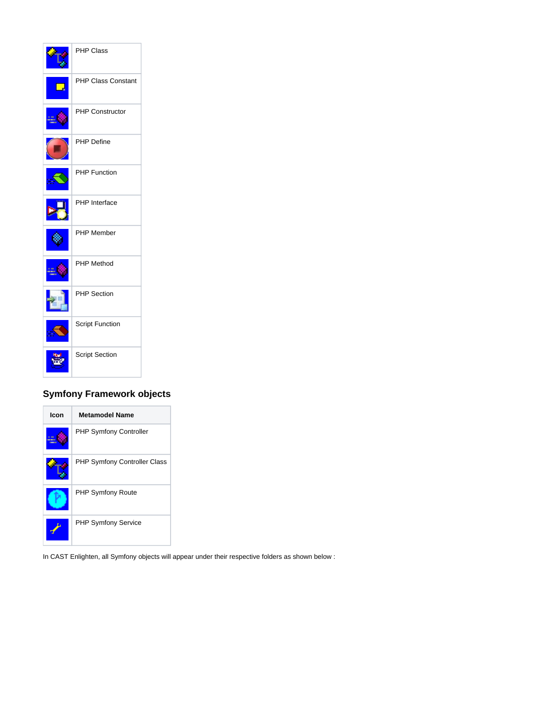

## **Symfony Framework objects**



In CAST Enlighten, all Symfony objects will appear under their respective folders as shown below :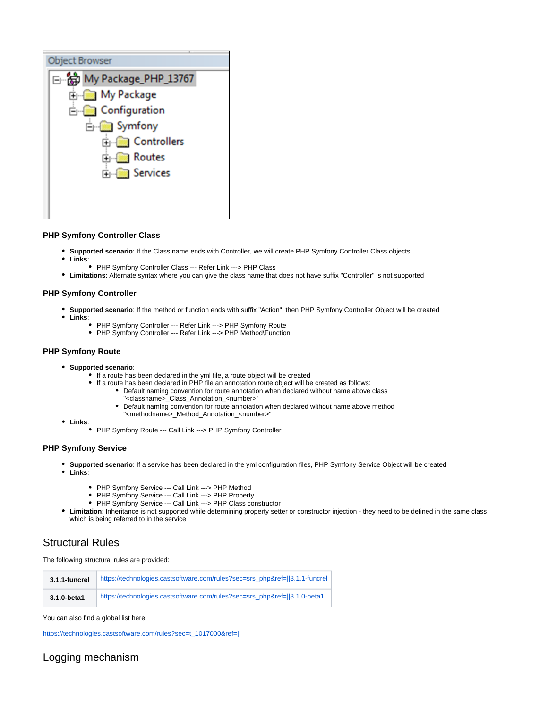#### **PHP Symfony Controller Class**

- **Supported scenario**: If the Class name ends with Controller, we will create PHP Symfony Controller Class objects
- $\bullet$ **Links**:
	- PHP Symfony Controller Class --- Refer Link ---> PHP Class
- **Limitations**: Alternate syntax where you can give the class name that does not have suffix "Controller" is not supported

#### **PHP Symfony Controller**

- **Supported scenario**: If the method or function ends with suffix "Action", then PHP Symfony Controller Object will be created
- **Links**:
	- PHP Symfony Controller --- Refer Link ---> PHP Symfony Route
	- PHP Symfony Controller --- Refer Link ---> PHP Method\Function

#### **PHP Symfony Route**

- **Supported scenario**:
	- If a route has been declared in the yml file, a route object will be created
	- If a route has been declared in PHP file an annotation route object will be created as follows:
		- Default naming convention for route annotation when declared without name above class "<classname>\_Class\_Annotation\_<number>"
		- Default naming convention for route annotation when declared without name above method "<methodname>\_Method\_Annotation\_<number>"
- **Links**:
	- PHP Symfony Route --- Call Link ---> PHP Symfony Controller

#### **PHP Symfony Service**

- **Supported scenario**: If a service has been declared in the yml configuration files, PHP Symfony Service Object will be created
- **Links**:
	- PHP Symfony Service --- Call Link ---> PHP Method
	- PHP Symfony Service --- Call Link ---> PHP Property
	- PHP Symfony Service --- Call Link ---> PHP Class constructor
- **Limitation**: Inheritance is not supported while determining property setter or constructor injection they need to be defined in the same class which is being referred to in the service

### <span id="page-7-0"></span>Structural Rules

The following structural rules are provided:

| 3.1.1-funcrel | https://technologies.castsoftware.com/rules?sec=srs_php&ref=[13.1.1-funcrel] |
|---------------|------------------------------------------------------------------------------|
| 3.1.0-beta1   | https://technologies.castsoftware.com/rules?sec=srs_php&ref=  3.1.0-beta1    |

You can also find a global list here:

[https://technologies.castsoftware.com/rules?sec=t\\_1017000&ref=||](https://technologies.castsoftware.com/rules?sec=t_1017000&ref=||)

### <span id="page-7-1"></span>Logging mechanism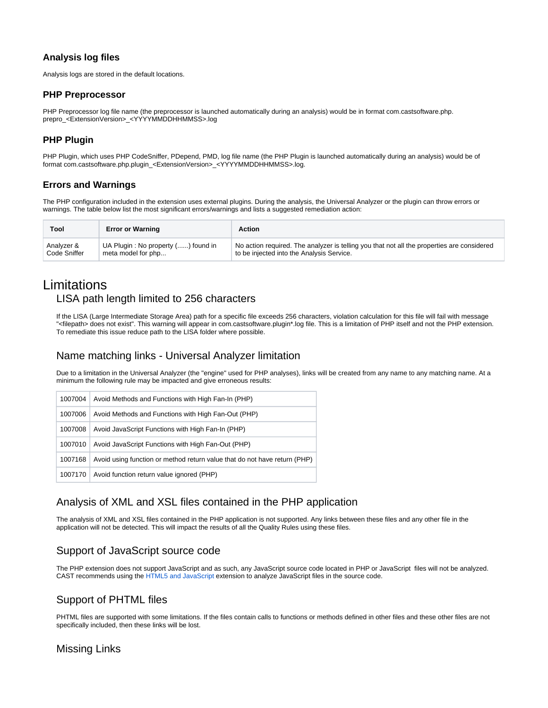#### **Analysis log files**

Analysis logs are stored in the default locations.

#### **PHP Preprocessor**

PHP Preprocessor log file name (the preprocessor is launched automatically during an analysis) would be in format com.castsoftware.php. prepro\_<ExtensionVersion>\_<YYYYMMDDHHMMSS>.log

### **PHP Plugin**

PHP Plugin, which uses PHP CodeSniffer, PDepend, PMD, log file name (the PHP Plugin is launched automatically during an analysis) would be of format com.castsoftware.php.plugin\_<ExtensionVersion>\_<YYYYMMDDHHMMSS>.log.

### **Errors and Warnings**

The PHP configuration included in the extension uses external plugins. During the analysis, the Universal Analyzer or the plugin can throw errors or warnings. The table below list the most significant errors/warnings and lists a suggested remediation action:

| Tool         | <b>Error or Warning</b>            | Action                                                                                     |
|--------------|------------------------------------|--------------------------------------------------------------------------------------------|
| Analyzer &   | UA Plugin: No property () found in | No action required. The analyzer is telling you that not all the properties are considered |
| Code Sniffer | meta model for php                 | to be injected into the Analysis Service.                                                  |

# <span id="page-8-1"></span><span id="page-8-0"></span>Limitations LISA path length limited to 256 characters

If the LISA (Large Intermediate Storage Area) path for a specific file exceeds 256 characters, violation calculation for this file will fail with message "<filepath> does not exist". This warning will appear in com.castsoftware.plugin\*.log file. This is a limitation of PHP itself and not the PHP extension. To remediate this issue reduce path to the LISA folder where possible.

### <span id="page-8-2"></span>Name matching links - Universal Analyzer limitation

Due to a limitation in the Universal Analyzer (the "engine" used for PHP analyses), links will be created from any name to any matching name. At a minimum the following rule may be impacted and give erroneous results:

| 1007004 | Avoid Methods and Functions with High Fan-In (PHP)                        |
|---------|---------------------------------------------------------------------------|
| 1007006 | Avoid Methods and Functions with High Fan-Out (PHP)                       |
| 1007008 | Avoid JavaScript Functions with High Fan-In (PHP)                         |
| 1007010 | Avoid JavaScript Functions with High Fan-Out (PHP)                        |
| 1007168 | Avoid using function or method return value that do not have return (PHP) |
| 1007170 | Avoid function return value ignored (PHP)                                 |

## <span id="page-8-3"></span>Analysis of XML and XSL files contained in the PHP application

The analysis of XML and XSL files contained in the PHP application is not supported. Any links between these files and any other file in the application will not be detected. This will impact the results of all the Quality Rules using these files.

## <span id="page-8-4"></span>Support of JavaScript source code

The PHP extension does not support JavaScript and as such, any JavaScript source code located in PHP or JavaScript files will not be analyzed. CAST recommends using the [HTML5 and JavaScript](https://doc.castsoftware.com/display/TECHNOS/HTML5+and+JavaScript) extension to analyze JavaScript files in the source code.

## <span id="page-8-5"></span>Support of PHTML files

PHTML files are supported with some limitations. If the files contain calls to functions or methods defined in other files and these other files are not specifically included, then these links will be lost.

### <span id="page-8-6"></span>Missing Links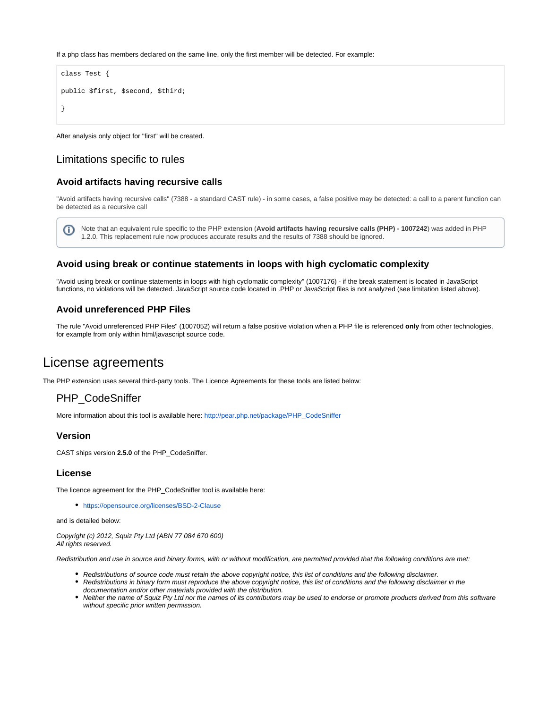If a php class has members declared on the same line, only the first member will be detected. For example:

```
class Test {
public $first, $second, $third;
}
```
After analysis only object for "first" will be created.

### <span id="page-9-0"></span>Limitations specific to rules

#### **Avoid artifacts having recursive calls**

"Avoid artifacts having recursive calls" (7388 - a standard CAST rule) - in some cases, a false positive may be detected: a call to a parent function can be detected as a recursive call

Note that an equivalent rule specific to the PHP extension (**Avoid artifacts having recursive calls (PHP) - 1007242**) was added in PHP O) 1.2.0. This replacement rule now produces accurate results and the results of 7388 should be ignored.

#### **Avoid using break or continue statements in loops with high cyclomatic complexity**

"Avoid using break or continue statements in loops with high cyclomatic complexity" (1007176) - if the break statement is located in JavaScript functions, no violations will be detected. JavaScript source code located in .PHP or JavaScript files is not analyzed (see limitation listed above).

#### **Avoid unreferenced PHP Files**

The rule "Avoid unreferenced PHP Files" (1007052) will return a false positive violation when a PHP file is referenced **only** from other technologies, for example from only within html/javascript source code.

# <span id="page-9-1"></span>License agreements

<span id="page-9-2"></span>The PHP extension uses several third-party tools. The Licence Agreements for these tools are listed below:

### PHP\_CodeSniffer

More information about this tool is available here: [http://pear.php.net/package/PHP\\_CodeSniffer](http://pear.php.net/package/PHP_CodeSniffer)

#### **Version**

CAST ships version **2.5.0** of the PHP\_CodeSniffer.

#### **License**

The licence agreement for the PHP\_CodeSniffer tool is available here:

<https://opensource.org/licenses/BSD-2-Clause>

and is detailed below:

Copyright (c) 2012, Squiz Pty Ltd (ABN 77 084 670 600) All rights reserved.

Redistribution and use in source and binary forms, with or without modification, are permitted provided that the following conditions are met:

- Redistributions of source code must retain the above copyright notice, this list of conditions and the following disclaimer.
- Redistributions in binary form must reproduce the above copyright notice, this list of conditions and the following disclaimer in the documentation and/or other materials provided with the distribution.
- Neither the name of Squiz Pty Ltd nor the names of its contributors may be used to endorse or promote products derived from this software without specific prior written permission.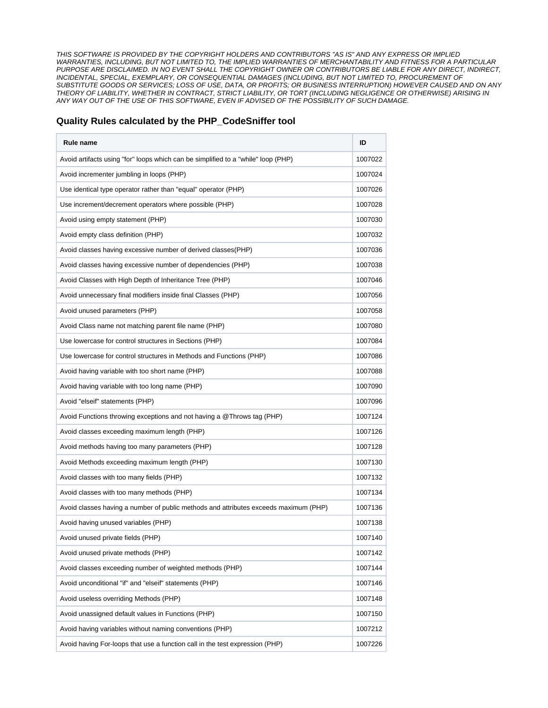THIS SOFTWARE IS PROVIDED BY THE COPYRIGHT HOLDERS AND CONTRIBUTORS "AS IS" AND ANY EXPRESS OR IMPLIED WARRANTIES, INCLUDING, BUT NOT LIMITED TO, THE IMPLIED WARRANTIES OF MERCHANTABILITY AND FITNESS FOR A PARTICULAR PURPOSE ARE DISCLAIMED. IN NO EVENT SHALL THE COPYRIGHT OWNER OR CONTRIBUTORS BE LIABLE FOR ANY DIRECT, INDIRECT, INCIDENTAL, SPECIAL, EXEMPLARY, OR CONSEQUENTIAL DAMAGES (INCLUDING, BUT NOT LIMITED TO, PROCUREMENT OF SUBSTITUTE GOODS OR SERVICES; LOSS OF USE, DATA, OR PROFITS; OR BUSINESS INTERRUPTION) HOWEVER CAUSED AND ON ANY THEORY OF LIABILITY, WHETHER IN CONTRACT, STRICT LIABILITY, OR TORT (INCLUDING NEGLIGENCE OR OTHERWISE) ARISING IN ANY WAY OUT OF THE USE OF THIS SOFTWARE, EVEN IF ADVISED OF THE POSSIBILITY OF SUCH DAMAGE.

#### **Quality Rules calculated by the PHP\_CodeSniffer tool**

| Rule name                                                                            | ID      |
|--------------------------------------------------------------------------------------|---------|
| Avoid artifacts using "for" loops which can be simplified to a "while" loop (PHP)    | 1007022 |
| Avoid incrementer jumbling in loops (PHP)                                            | 1007024 |
| Use identical type operator rather than "equal" operator (PHP)                       | 1007026 |
| Use increment/decrement operators where possible (PHP)                               | 1007028 |
| Avoid using empty statement (PHP)                                                    | 1007030 |
| Avoid empty class definition (PHP)                                                   | 1007032 |
| Avoid classes having excessive number of derived classes(PHP)                        | 1007036 |
| Avoid classes having excessive number of dependencies (PHP)                          | 1007038 |
| Avoid Classes with High Depth of Inheritance Tree (PHP)                              | 1007046 |
| Avoid unnecessary final modifiers inside final Classes (PHP)                         | 1007056 |
| Avoid unused parameters (PHP)                                                        | 1007058 |
| Avoid Class name not matching parent file name (PHP)                                 | 1007080 |
| Use lowercase for control structures in Sections (PHP)                               | 1007084 |
| Use lowercase for control structures in Methods and Functions (PHP)                  | 1007086 |
| Avoid having variable with too short name (PHP)                                      | 1007088 |
| Avoid having variable with too long name (PHP)                                       | 1007090 |
| Avoid "elseif" statements (PHP)                                                      | 1007096 |
| Avoid Functions throwing exceptions and not having a @Throws tag (PHP)               | 1007124 |
| Avoid classes exceeding maximum length (PHP)                                         | 1007126 |
| Avoid methods having too many parameters (PHP)                                       | 1007128 |
| Avoid Methods exceeding maximum length (PHP)                                         | 1007130 |
| Avoid classes with too many fields (PHP)                                             | 1007132 |
| Avoid classes with too many methods (PHP)                                            | 1007134 |
| Avoid classes having a number of public methods and attributes exceeds maximum (PHP) | 1007136 |
| Avoid having unused variables (PHP)                                                  | 1007138 |
| Avoid unused private fields (PHP)                                                    | 1007140 |
| Avoid unused private methods (PHP)                                                   | 1007142 |
| Avoid classes exceeding number of weighted methods (PHP)                             | 1007144 |
| Avoid unconditional "if" and "elseif" statements (PHP)                               | 1007146 |
| Avoid useless overriding Methods (PHP)                                               | 1007148 |
| Avoid unassigned default values in Functions (PHP)                                   | 1007150 |
| Avoid having variables without naming conventions (PHP)                              | 1007212 |
| Avoid having For-loops that use a function call in the test expression (PHP)         | 1007226 |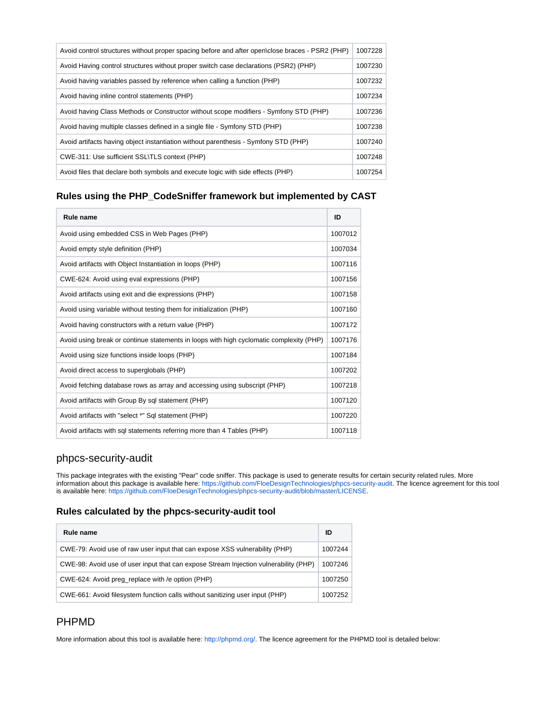| Avoid control structures without proper spacing before and after open\close braces - PSR2 (PHP) | 1007228 |
|-------------------------------------------------------------------------------------------------|---------|
| Avoid Having control structures without proper switch case declarations (PSR2) (PHP)            | 1007230 |
| Avoid having variables passed by reference when calling a function (PHP)                        | 1007232 |
| Avoid having inline control statements (PHP)                                                    | 1007234 |
| Avoid having Class Methods or Constructor without scope modifiers - Symfony STD (PHP)           | 1007236 |
| Avoid having multiple classes defined in a single file - Symfony STD (PHP)                      | 1007238 |
| Avoid artifacts having object instantiation without parenthesis - Symfony STD (PHP)             | 1007240 |
| CWE-311: Use sufficient SSL\TLS context (PHP)                                                   | 1007248 |
| Avoid files that declare both symbols and execute logic with side effects (PHP)                 | 1007254 |

#### **Rules using the PHP\_CodeSniffer framework but implemented by CAST**

| <b>Rule name</b>                                                                        | ID      |
|-----------------------------------------------------------------------------------------|---------|
| Avoid using embedded CSS in Web Pages (PHP)                                             | 1007012 |
| Avoid empty style definition (PHP)                                                      | 1007034 |
| Avoid artifacts with Object Instantiation in loops (PHP)                                | 1007116 |
| CWE-624: Avoid using eval expressions (PHP)                                             | 1007156 |
| Avoid artifacts using exit and die expressions (PHP)                                    | 1007158 |
| Avoid using variable without testing them for initialization (PHP)                      | 1007160 |
| Avoid having constructors with a return value (PHP)                                     | 1007172 |
| Avoid using break or continue statements in loops with high cyclomatic complexity (PHP) | 1007176 |
| Avoid using size functions inside loops (PHP)                                           | 1007184 |
| Avoid direct access to superglobals (PHP)                                               | 1007202 |
| Avoid fetching database rows as array and accessing using subscript (PHP)               | 1007218 |
| Avoid artifacts with Group By sql statement (PHP)                                       | 1007120 |
| Avoid artifacts with "select *" Sql statement (PHP)                                     | 1007220 |
| Avoid artifacts with sql statements referring more than 4 Tables (PHP)                  | 1007118 |

## <span id="page-11-0"></span>phpcs-security-audit

This package integrates with the existing "Pear" code sniffer. This package is used to generate results for certain security related rules. More information about this package is available here: [https://github.com/FloeDesignTechnologies/phpcs-security-audit.](https://github.com/FloeDesignTechnologies/phpcs-security-audit) The licence agreement for this tool is available here: [https://github.com/FloeDesignTechnologies/phpcs-security-audit/blob/master/LICENSE.](https://github.com/FloeDesignTechnologies/phpcs-security-audit/blob/master/LICENSE)

#### **Rules calculated by the phpcs-security-audit tool**

| Rule name                                                                            | ID      |
|--------------------------------------------------------------------------------------|---------|
| CWE-79: Avoid use of raw user input that can expose XSS vulnerability (PHP)          | 1007244 |
| CWE-98: Avoid use of user input that can expose Stream Injection vulnerability (PHP) | 1007246 |
| CWE-624: Avoid preg_replace with /e option (PHP)                                     | 1007250 |
| CWE-661: Avoid filesystem function calls without sanitizing user input (PHP)         | 1007252 |

## <span id="page-11-1"></span>PHPMD

More information about this tool is available here[: http://phpmd.org/](http://phpmd.org/). The licence agreement for the PHPMD tool is detailed below: